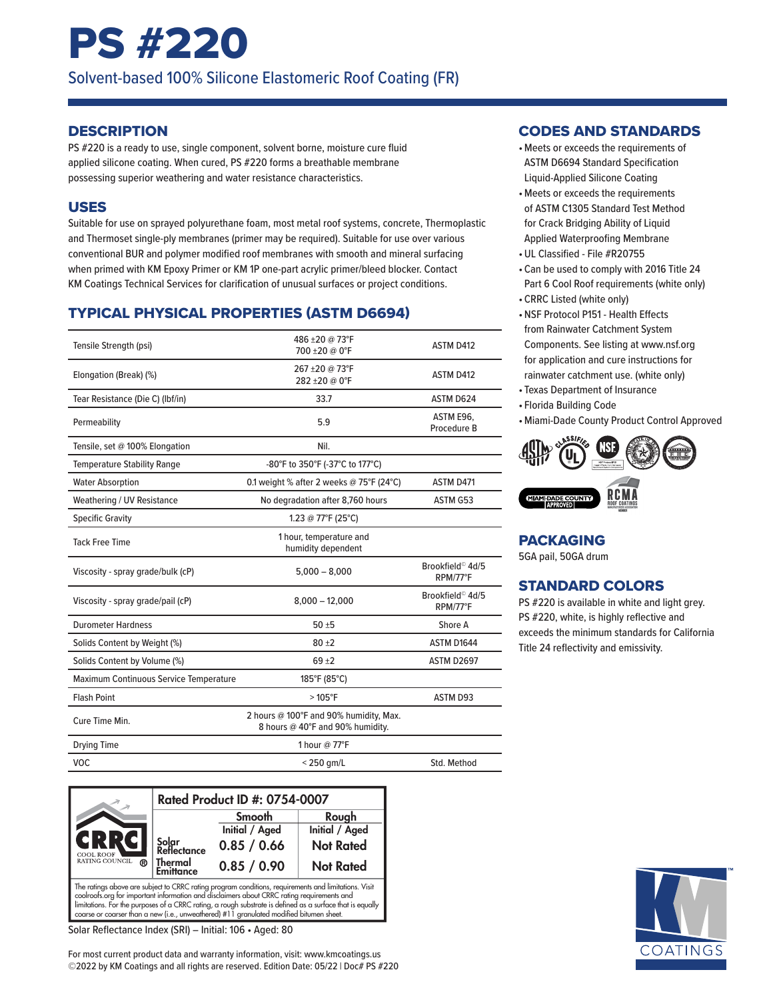# PS #220

Solvent-based 100% Silicone Elastomeric Roof Coating (FR)

#### **DESCRIPTION**

PS #220 is a ready to use, single component, solvent borne, moisture cure fluid applied silicone coating. When cured, PS #220 forms a breathable membrane possessing superior weathering and water resistance characteristics.

#### USES

Suitable for use on sprayed polyurethane foam, most metal roof systems, concrete, Thermoplastic and Thermoset single-ply membranes (primer may be required). Suitable for use over various conventional BUR and polymer modified roof membranes with smooth and mineral surfacing when primed with KM Epoxy Primer or KM 1P one-part acrylic primer/bleed blocker. Contact KM Coatings Technical Services for clarification of unusual surfaces or project conditions.

# TYPICAL PHYSICAL PROPERTIES (ASTM D6694)

| Tensile Strength (psi)                 | 486 ±20 @ 73°F<br>700 ±20 @ 0°F                                            | ASTM D412                                |
|----------------------------------------|----------------------------------------------------------------------------|------------------------------------------|
| Elongation (Break) (%)                 | 267 ± 20 @ 73°F<br>282 ± 20 @ 0°F                                          | ASTM D412                                |
| Tear Resistance (Die C) (Ibf/in)       | 33.7                                                                       | ASTM D624                                |
| Permeability                           | 5.9                                                                        | ASTM E96,<br>Procedure B                 |
| Tensile, set @ 100% Elongation         | Nil.                                                                       |                                          |
| <b>Temperature Stability Range</b>     | -80°F to 350°F (-37°C to 177°C)                                            |                                          |
| <b>Water Absorption</b>                | 0.1 weight % after 2 weeks @ 75°F (24°C)                                   | ASTM D471                                |
| Weathering / UV Resistance             | No degradation after 8,760 hours                                           | ASTM G53                                 |
| <b>Specific Gravity</b>                | 1.23 @ 77°F (25°C)                                                         |                                          |
| <b>Tack Free Time</b>                  | 1 hour, temperature and<br>humidity dependent                              |                                          |
| Viscosity - spray grade/bulk (cP)      | $5,000 - 8,000$                                                            | Brookfield <sup>©</sup> 4d/5<br>RPM/77°F |
| Viscosity - spray grade/pail (cP)      | $8,000 - 12,000$                                                           | Brookfield <sup>©</sup> 4d/5<br>RPM/77°F |
| <b>Durometer Hardness</b>              | $50 + 5$                                                                   | Shore A                                  |
| Solids Content by Weight (%)           | $80 + 2$                                                                   | ASTM D1644                               |
| Solids Content by Volume (%)           | $69 + 2$                                                                   | ASTM D2697                               |
| Maximum Continuous Service Temperature | 185°F (85°C)                                                               |                                          |
| <b>Flash Point</b>                     | $>105^{\circ}F$                                                            | <b>ASTM D93</b>                          |
| Cure Time Min.                         | 2 hours @ 100°F and 90% humidity, Max.<br>8 hours @ 40°F and 90% humidity. |                                          |
| <b>Drying Time</b>                     | 1 hour @ 77°F                                                              |                                          |
| <b>VOC</b>                             | $<$ 250 gm/L                                                               | Std. Method                              |



limitations. For the purposes of a CRRC rating, a rough substrate is defined as a surface that is equally<br>coarse or coarser than a new (i.e., unweathered) #11 granulated modified bitumen sheet.

Solar Reflectance Index (SRI) – Initial: 106 • Aged: 80

For most current product data and warranty information, visit: www.kmcoatings.us ©2022 by KM Coatings and all rights are reserved. Edition Date: 05/22 | Doc# PS #220

#### CODES AND STANDARDS

- •Meets or exceeds the requirements of ASTM D6694 Standard Specification Liquid-Applied Silicone Coating
- •Meets or exceeds the requirements of ASTM C1305 Standard Test Method for Crack Bridging Ability of Liquid Applied Waterproofing Membrane
- •UL Classified File #R20755
- Can be used to comply with 2016 Title 24 Part 6 Cool Roof requirements (white only)
- CRRC Listed (white only)
- •NSF Protocol P151 Health Effects from Rainwater Catchment System Components. See listing at www.nsf.org for application and cure instructions for rainwater catchment use. (white only)
- Texas Department of Insurance
- Florida Building Code
- •Miami-Dade County Product Control Approved



# PACKAGING

5GA pail, 50GA drum

# STANDARD COLORS

PS #220 is available in white and light grey. PS #220, white, is highly reflective and exceeds the minimum standards for California Title 24 reflectivity and emissivity.